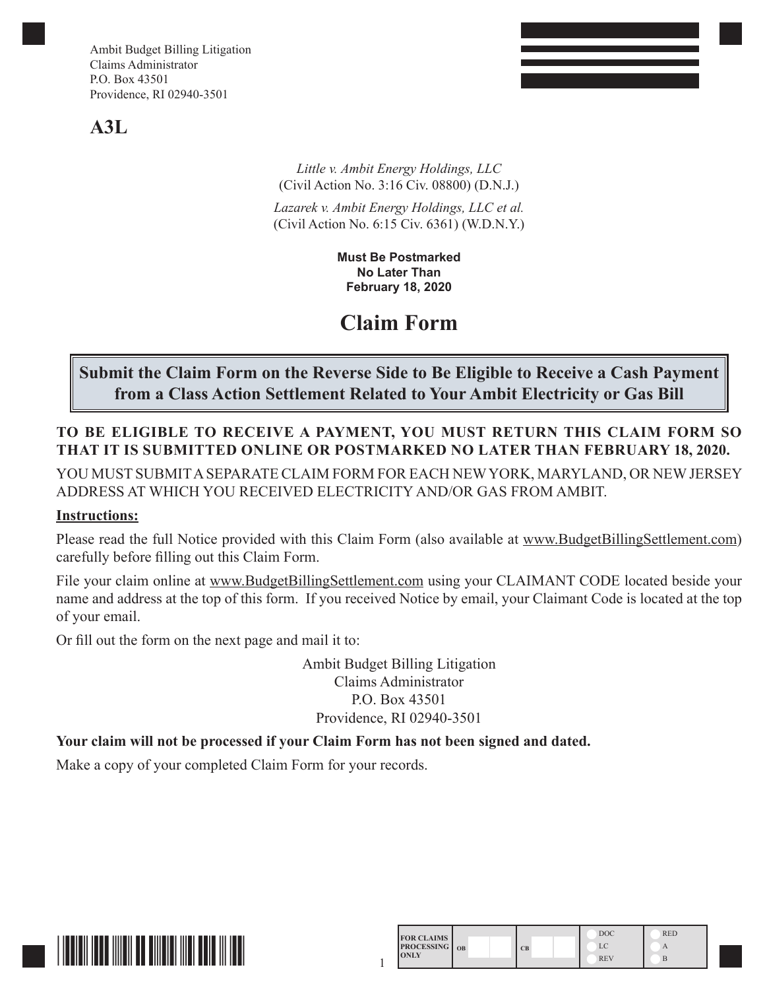# **A3L**

*Little v. Ambit Energy Holdings, LLC*  (Civil Action No. 3:16 Civ. 08800) (D.N.J.)

*Lazarek v. Ambit Energy Holdings, LLC et al.* (Civil Action No. 6:15 Civ. 6361) (W.D.N.Y.)

> **Must Be Postmarked No Later Than February 18, 2020**

# **Claim Form**

# **Submit the Claim Form on the Reverse Side to Be Eligible to Receive a Cash Payment from a Class Action Settlement Related to Your Ambit Electricity or Gas Bill**

## **TO BE ELIGIBLE TO RECEIVE A PAYMENT, YOU MUST RETURN THIS CLAIM FORM SO THAT IT IS SUBMITTED ONLINE OR POSTMARKED NO LATER THAN FEBRUARY 18, 2020.**

YOU MUST SUBMIT A SEPARATE CLAIM FORM FOR EACH NEW YORK, MARYLAND, OR NEW JERSEY ADDRESS AT WHICH YOU RECEIVED ELECTRICITY AND/OR GAS FROM AMBIT.

#### **Instructions:**

Please read the full Notice provided with this Claim Form (also available at www.BudgetBillingSettlement.com) carefully before filling out this Claim Form.

File your claim online at www.BudgetBillingSettlement.com using your CLAIMANT CODE located beside your name and address at the top of this form. If you received Notice by email, your Claimant Code is located at the top of your email.

Or fill out the form on the next page and mail it to:

Ambit Budget Billing Litigation Claims Administrator P.O. Box 43501 Providence, RI 02940-3501

### **Your claim will not be processed if your Claim Form has not been signed and dated.**

Make a copy of your completed Claim Form for your records.



| <b>FOR CLAIMS</b><br><b>PROCESSING</b> OB<br><b>ONLY</b> |  |           | <b>DOC</b> | <b>RED</b> |  |  |
|----------------------------------------------------------|--|-----------|------------|------------|--|--|
|                                                          |  | <b>CB</b> | LC         |            |  |  |
|                                                          |  |           | <b>REV</b> | В          |  |  |